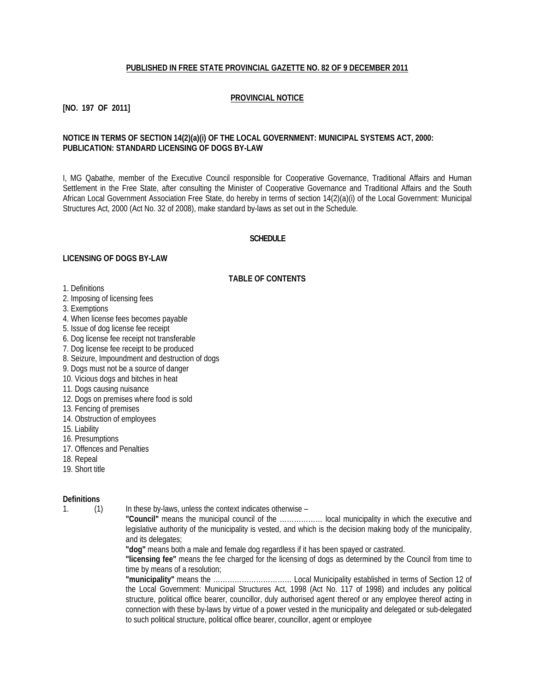# **PUBLISHED IN FREE STATE PROVINCIAL GAZETTE NO. 82 OF 9 DECEMBER 2011**

# **PROVINCIAL NOTICE**

# **[NO. 197 OF 2011]**

# **NOTICE IN TERMS OF SECTION 14(2)(a)(i) OF THE LOCAL GOVERNMENT: MUNICIPAL SYSTEMS ACT, 2000: PUBLICATION: STANDARD LICENSING OF DOGS BY-LAW**

I, MG Qabathe, member of the Executive Council responsible for Cooperative Governance, Traditional Affairs and Human Settlement in the Free State, after consulting the Minister of Cooperative Governance and Traditional Affairs and the South African Local Government Association Free State, do hereby in terms of section 14(2)(a)(i) of the Local Government: Municipal Structures Act, 2000 (Act No. 32 of 2008), make standard by-laws as set out in the Schedule.

#### **SCHEDULE**

#### **LICENSING OF DOGS BY-LAW**

#### **TABLE OF CONTENTS**

- 1. Definitions
- 2. Imposing of licensing fees
- 3. Exemptions
- 4. When license fees becomes payable
- 5. Issue of dog license fee receipt
- 6. Dog license fee receipt not transferable
- 7. Dog license fee receipt to be produced
- 8. Seizure, Impoundment and destruction of dogs
- 9. Dogs must not be a source of danger
- 10. Vicious dogs and bitches in heat
- 11. Dogs causing nuisance
- 12. Dogs on premises where food is sold
- 13. Fencing of premises
- 14. Obstruction of employees
- 15. Liability
- 16. Presumptions
- 17. Offences and Penalties
- 18. Repeal
- 19. Short title

#### **Definitions**

1. (1) In these by-laws, unless the context indicates otherwise –

**"Council"** means the municipal council of the ……………… local municipality in which the executive and legislative authority of the municipality is vested, and which is the decision making body of the municipality, and its delegates;

**"dog"** means both a male and female dog regardless if it has been spayed or castrated.

**"licensing fee"** means the fee charged for the licensing of dogs as determined by the Council from time to time by means of a resolution;

**"municipality"** means the …………………………… Local Municipality established in terms of Section 12 of the Local Government: Municipal Structures Act, 1998 (Act No. 117 of 1998) and includes any political structure, political office bearer, councillor, duly authorised agent thereof or any employee thereof acting in connection with these by-laws by virtue of a power vested in the municipality and delegated or sub-delegated to such political structure, political office bearer, councillor, agent or employee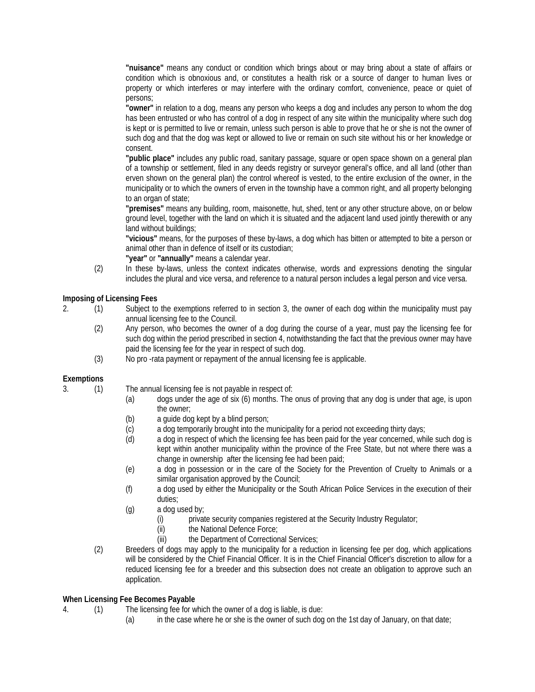**"nuisance"** means any conduct or condition which brings about or may bring about a state of affairs or condition which is obnoxious and, or constitutes a health risk or a source of danger to human lives or property or which interferes or may interfere with the ordinary comfort, convenience, peace or quiet of persons;

**"owner"** in relation to a dog, means any person who keeps a dog and includes any person to whom the dog has been entrusted or who has control of a dog in respect of any site within the municipality where such dog is kept or is permitted to live or remain, unless such person is able to prove that he or she is not the owner of such dog and that the dog was kept or allowed to live or remain on such site without his or her knowledge or consent.

**"public place"** includes any public road, sanitary passage, square or open space shown on a general plan of a township or settlement, filed in any deeds registry or surveyor general's office, and all land (other than erven shown on the general plan) the control whereof is vested, to the entire exclusion of the owner, in the municipality or to which the owners of erven in the township have a common right, and all property belonging to an organ of state;

**"premises"** means any building, room, maisonette, hut, shed, tent or any other structure above, on or below ground level, together with the land on which it is situated and the adjacent land used jointly therewith or any land without buildings;

**"vicious"** means, for the purposes of these by-laws, a dog which has bitten or attempted to bite a person or animal other than in defence of itself or its custodian;

**"year"** or **"annually"** means a calendar year.

(2) In these by-laws, unless the context indicates otherwise, words and expressions denoting the singular includes the plural and vice versa, and reference to a natural person includes a legal person and vice versa.

**Imposing of Licensing Fees**

- 2. (1) Subject to the exemptions referred to in section 3, the owner of each dog within the municipality must pay annual licensing fee to the Council.
	- (2) Any person, who becomes the owner of a dog during the course of a year, must pay the licensing fee for such dog within the period prescribed in section 4, notwithstanding the fact that the previous owner may have paid the licensing fee for the year in respect of such dog.
	- (3) No pro -rata payment or repayment of the annual licensing fee is applicable.

# **Exemptions**

3. (1) The annual licensing fee is not payable in respect of:

- (a) dogs under the age of six (6) months. The onus of proving that any dog is under that age, is upon the owner;
- (b) a guide dog kept by a blind person;
- (c) a dog temporarily brought into the municipality for a period not exceeding thirty days;
- (d) a dog in respect of which the licensing fee has been paid for the year concerned, while such dog is kept within another municipality within the province of the Free State, but not where there was a change in ownership after the licensing fee had been paid;
- (e) a dog in possession or in the care of the Society for the Prevention of Cruelty to Animals or a similar organisation approved by the Council;
- (f) a dog used by either the Municipality or the South African Police Services in the execution of their duties;
- (g) a dog used by;
	- (i) private security companies registered at the Security Industry Regulator;
	- (ii) the National Defence Force;<br>(iii) the Department of Correction
	- the Department of Correctional Services;
- (2) Breeders of dogs may apply to the municipality for a reduction in licensing fee per dog, which applications will be considered by the Chief Financial Officer. It is in the Chief Financial Officer's discretion to allow for a reduced licensing fee for a breeder and this subsection does not create an obligation to approve such an application.

# **When Licensing Fee Becomes Payable**

- 4. (1) The licensing fee for which the owner of a dog is liable, is due:
	- (a) in the case where he or she is the owner of such dog on the 1st day of January, on that date;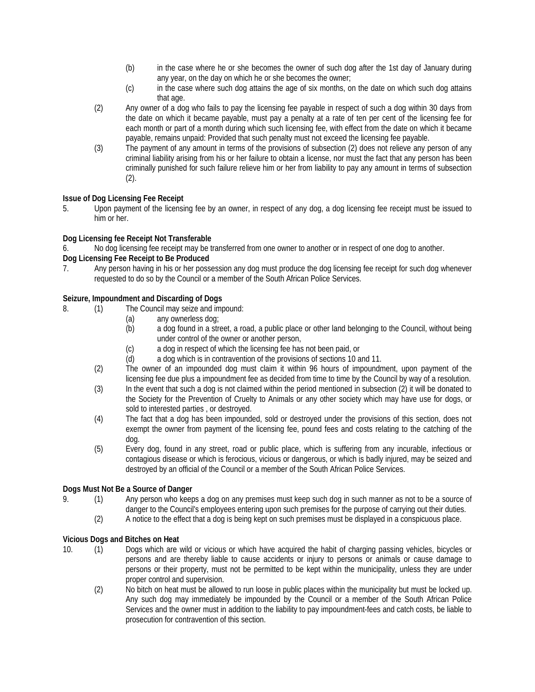- (b) in the case where he or she becomes the owner of such dog after the 1st day of January during any year, on the day on which he or she becomes the owner;
- (c) in the case where such dog attains the age of six months, on the date on which such dog attains that age.
- (2) Any owner of a dog who fails to pay the licensing fee payable in respect of such a dog within 30 days from the date on which it became payable, must pay a penalty at a rate of ten per cent of the licensing fee for each month or part of a month during which such licensing fee, with effect from the date on which it became payable, remains unpaid: Provided that such penalty must not exceed the licensing fee payable.
- (3) The payment of any amount in terms of the provisions of subsection (2) does not relieve any person of any criminal liability arising from his or her failure to obtain a license, nor must the fact that any person has been criminally punished for such failure relieve him or her from liability to pay any amount in terms of subsection (2).

# **Issue of Dog Licensing Fee Receipt**

5. Upon payment of the licensing fee by an owner, in respect of any dog, a dog licensing fee receipt must be issued to him or her.

# **Dog Licensing fee Receipt Not Transferable**

No dog licensing fee receipt may be transferred from one owner to another or in respect of one dog to another.

# **Dog Licensing Fee Receipt to Be Produced**

7. Any person having in his or her possession any dog must produce the dog licensing fee receipt for such dog whenever requested to do so by the Council or a member of the South African Police Services.

# **Seizure, Impoundment and Discarding of Dogs**

- 8. (1) The Council may seize and impound:
	- (a) any ownerless dog;
	- (b) a dog found in a street, a road, a public place or other land belonging to the Council, without being under control of the owner or another person,
	- (c) a dog in respect of which the licensing fee has not been paid, or
	- (d) a dog which is in contravention of the provisions of sections 10 and 11.
	- (2) The owner of an impounded dog must claim it within 96 hours of impoundment, upon payment of the licensing fee due plus a impoundment fee as decided from time to time by the Council by way of a resolution.
	- (3) In the event that such a dog is not claimed within the period mentioned in subsection (2) it will be donated to the Society for the Prevention of Cruelty to Animals or any other society which may have use for dogs, or sold to interested parties , or destroyed.
	- (4) The fact that a dog has been impounded, sold or destroyed under the provisions of this section, does not exempt the owner from payment of the licensing fee, pound fees and costs relating to the catching of the dog.
	- (5) Every dog, found in any street, road or public place, which is suffering from any incurable, infectious or contagious disease or which is ferocious, vicious or dangerous, or which is badly injured, may be seized and destroyed by an official of the Council or a member of the South African Police Services.

# **Dogs Must Not Be a Source of Danger**

- 9. (1) Any person who keeps a dog on any premises must keep such dog in such manner as not to be a source of danger to the Council's employees entering upon such premises for the purpose of carrying out their duties.
	- (2) A notice to the effect that a dog is being kept on such premises must be displayed in a conspicuous place.

# **Vicious Dogs and Bitches on Heat**

- 10. (1) Dogs which are wild or vicious or which have acquired the habit of charging passing vehicles, bicycles or persons and are thereby liable to cause accidents or injury to persons or animals or cause damage to persons or their property, must not be permitted to be kept within the municipality, unless they are under proper control and supervision.
	- (2) No bitch on heat must be allowed to run loose in public places within the municipality but must be locked up. Any such dog may immediately be impounded by the Council or a member of the South African Police Services and the owner must in addition to the liability to pay impoundment-fees and catch costs, be liable to prosecution for contravention of this section.